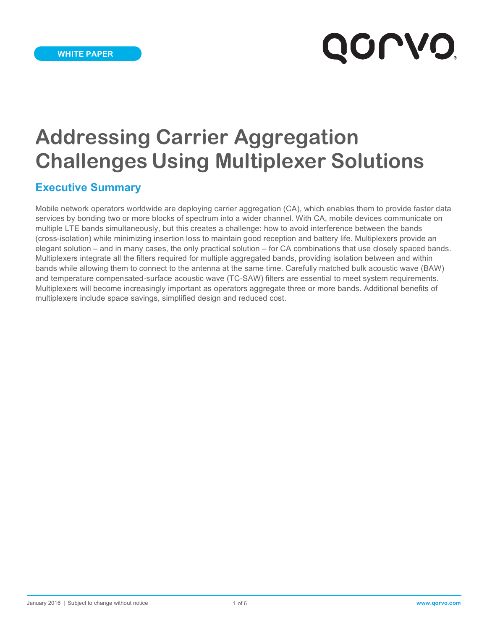# **QOLVO**

# **Addressing Carrier Aggregation Challenges Using Multiplexer Solutions**

## **Executive Summary**

Mobile network operators worldwide are deploying carrier aggregation (CA), which enables them to provide faster data services by bonding two or more blocks of spectrum into a wider channel. With CA, mobile devices communicate on multiple LTE bands simultaneously, but this creates a challenge: how to avoid interference between the bands (cross-isolation) while minimizing insertion loss to maintain good reception and battery life. Multiplexers provide an elegant solution – and in many cases, the only practical solution – for CA combinations that use closely spaced bands. Multiplexers integrate all the filters required for multiple aggregated bands, providing isolation between and within bands while allowing them to connect to the antenna at the same time. Carefully matched bulk acoustic wave (BAW) and temperature compensated-surface acoustic wave (TC-SAW) filters are essential to meet system requirements. Multiplexers will become increasingly important as operators aggregate three or more bands. Additional benefits of multiplexers include space savings, simplified design and reduced cost.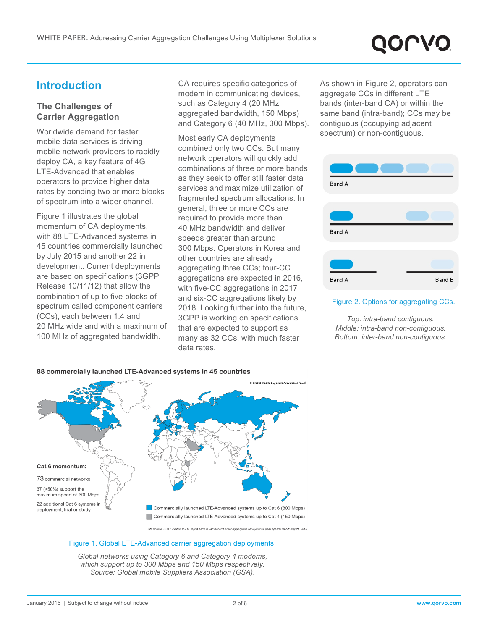# QOLVC

# **Introduction**

#### **The Challenges of Carrier Aggregation**

Worldwide demand for faster mobile data services is driving mobile network providers to rapidly deploy CA, a key feature of 4G LTE-Advanced that enables operators to provide higher data rates by bonding two or more blocks of spectrum into a wider channel.

Figure 1 illustrates the global momentum of CA deployments, with 88 LTE-Advanced systems in 45 countries commercially launched by July 2015 and another 22 in development. Current deployments are based on specifications (3GPP Release 10/11/12) that allow the combination of up to five blocks of spectrum called component carriers (CCs), each between 1.4 and 20 MHz wide and with a maximum of 100 MHz of aggregated bandwidth.

CA requires specific categories of modem in communicating devices, such as Category 4 (20 MHz aggregated bandwidth, 150 Mbps) and Category 6 (40 MHz, 300 Mbps).

Most early CA deployments combined only two CCs. But many network operators will quickly add combinations of three or more bands as they seek to offer still faster data services and maximize utilization of fragmented spectrum allocations. In general, three or more CCs are required to provide more than 40 MHz bandwidth and deliver speeds greater than around 300 Mbps. Operators in Korea and other countries are already aggregating three CCs; four-CC aggregations are expected in 2016, with five-CC aggregations in 2017 and six-CC aggregations likely by 2018. Looking further into the future, 3GPP is working on specifications that are expected to support as many as 32 CCs, with much faster data rates.

As shown in Figure 2, operators can aggregate CCs in different LTE bands (inter-band CA) or within the same band (intra-band); CCs may be contiguous (occupying adjacent spectrum) or non-contiguous.



#### Figure 2. Options for aggregating CCs.

*Top: intra-band contiguous. Middle: intra-band non-contiguous. Bottom: inter-band non-contiguous.*



Data Source: GSA Eve n to LTE report and LTE-Adva

#### Figure 1. Global LTE-Advanced carrier aggregation deployments.

*Global networks using Category 6 and Category 4 modems, which support up to 300 Mbps and 150 Mbps respectively. Source: Global mobile Suppliers Association (GSA).*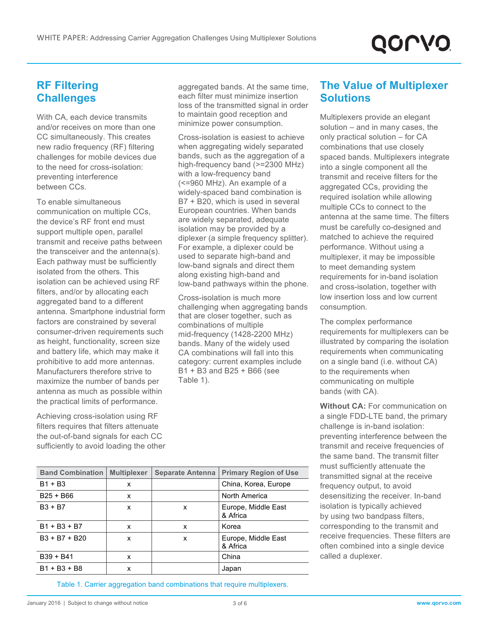# **RF Filtering Challenges**

With CA, each device transmits and/or receives on more than one CC simultaneously. This creates new radio frequency (RF) filtering challenges for mobile devices due to the need for cross-isolation: preventing interference between CCs.

To enable simultaneous communication on multiple CCs, the device's RF front end must support multiple open, parallel transmit and receive paths between the transceiver and the antenna(s). Each pathway must be sufficiently isolated from the others. This isolation can be achieved using RF filters, and/or by allocating each aggregated band to a different antenna. Smartphone industrial form factors are constrained by several consumer-driven requirements such as height, functionality, screen size and battery life, which may make it prohibitive to add more antennas. Manufacturers therefore strive to maximize the number of bands per antenna as much as possible within the practical limits of performance.

Achieving cross-isolation using RF filters requires that filters attenuate the out-of-band signals for each CC sufficiently to avoid loading the other aggregated bands. At the same time, each filter must minimize insertion loss of the transmitted signal in order to maintain good reception and minimize power consumption.

Cross-isolation is easiest to achieve when aggregating widely separated bands, such as the aggregation of a high-frequency band (>=2300 MHz) with a low-frequency band (<=960 MHz). An example of a widely-spaced band combination is B7 + B20, which is used in several European countries. When bands are widely separated, adequate isolation may be provided by a diplexer (a simple frequency splitter). For example, a diplexer could be used to separate high-band and low-band signals and direct them along existing high-band and low-band pathways within the phone.

Cross-isolation is much more challenging when aggregating bands that are closer together, such as combinations of multiple mid-frequency (1428-2200 MHz) bands. Many of the widely used CA combinations will fall into this category: current examples include B1 + B3 and B25 + B66 (see Table 1).

## **The Value of Multiplexer Solutions**

Multiplexers provide an elegant solution – and in many cases, the only practical solution – for CA combinations that use closely spaced bands. Multiplexers integrate into a single component all the transmit and receive filters for the aggregated CCs, providing the required isolation while allowing multiple CCs to connect to the antenna at the same time. The filters must be carefully co-designed and matched to achieve the required performance. Without using a multiplexer, it may be impossible to meet demanding system requirements for in-band isolation and cross-isolation, together with low insertion loss and low current consumption.

The complex performance requirements for multiplexers can be illustrated by comparing the isolation requirements when communicating on a single band (i.e. without CA) to the requirements when communicating on multiple bands (with CA).

**Without CA:** For communication on a single FDD-LTE band, the primary challenge is in-band isolation: preventing interference between the transmit and receive frequencies of the same band. The transmit filter must sufficiently attenuate the transmitted signal at the receive frequency output, to avoid desensitizing the receiver. In-band isolation is typically achieved by using two bandpass filters, corresponding to the transmit and receive frequencies. These filters are often combined into a single device called a duplexer.

| <b>Band Combination</b> | <b>Multiplexer</b> | <b>Separate Antenna</b> | <b>Primary Region of Use</b>    |
|-------------------------|--------------------|-------------------------|---------------------------------|
| $B1 + B3$               | x                  |                         | China, Korea, Europe            |
| $B25 + B66$             | x                  |                         | North America                   |
| $B3 + B7$               | x                  | x                       | Europe, Middle East<br>& Africa |
| $B1 + B3 + B7$          | x                  | x                       | Korea                           |
| $B3 + B7 + B20$         | x                  | x                       | Europe, Middle East<br>& Africa |
| $B39 + B41$             | x                  |                         | China                           |
| $B1 + B3 + B8$          | x                  |                         | Japan                           |

Table 1. Carrier aggregation band combinations that require multiplexers.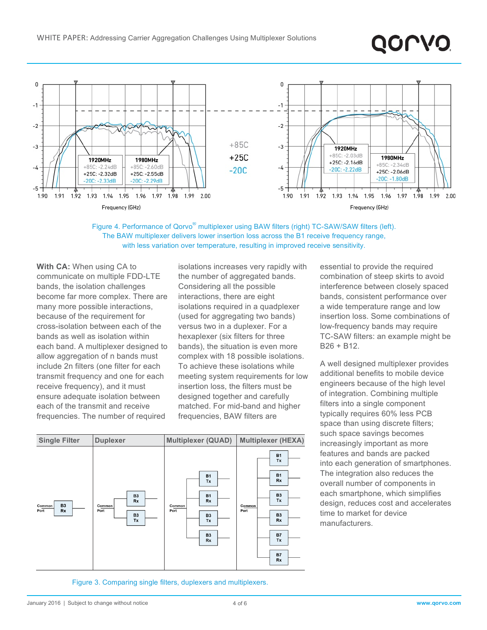



**With CA:** When using CA to communicate on multiple FDD-LTE bands, the isolation challenges become far more complex. There are many more possible interactions, because of the requirement for cross-isolation between each of the bands as well as isolation within each band. A multiplexer designed to allow aggregation of n bands must include 2n filters (one filter for each transmit frequency and one for each receive frequency), and it must ensure adequate isolation between each of the transmit and receive frequencies. The number of required

isolations increases very rapidly with the number of aggregated bands. Considering all the possible interactions, there are eight isolations required in a quadplexer (used for aggregating two bands) versus two in a duplexer. For a hexaplexer (six filters for three bands), the situation is even more complex with 18 possible isolations. To achieve these isolations while meeting system requirements for low insertion loss, the filters must be designed together and carefully matched. For mid-band and higher frequencies, BAW filters are



essential to provide the required combination of steep skirts to avoid interference between closely spaced bands, consistent performance over a wide temperature range and low insertion loss. Some combinations of low-frequency bands may require TC-SAW filters: an example might be B26 + B12.

QOLVQ

A well designed multiplexer provides additional benefits to mobile device engineers because of the high level of integration. Combining multiple filters into a single component typically requires 60% less PCB space than using discrete filters; such space savings becomes increasingly important as more features and bands are packed into each generation of smartphones. The integration also reduces the overall number of components in each smartphone, which simplifies design, reduces cost and accelerates time to market for device manufacturers.

Figure 3. Comparing single filters, duplexers and multiplexers.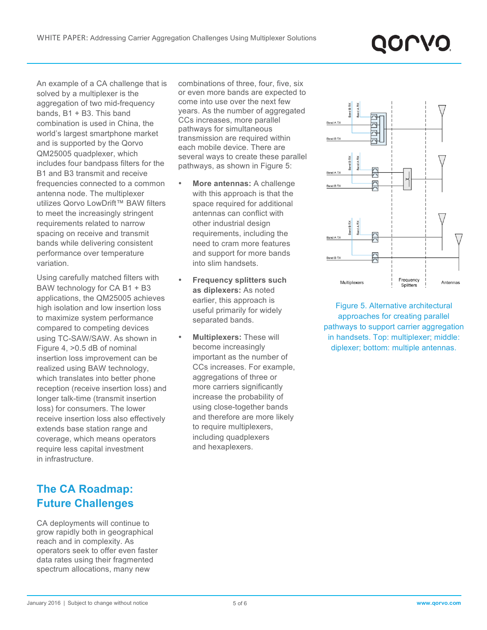An example of a CA challenge that is solved by a multiplexer is the aggregation of two mid-frequency bands, B1 + B3. This band combination is used in China, the world's largest smartphone market and is supported by the Qorvo QM25005 quadplexer, which includes four bandpass filters for the B1 and B3 transmit and receive frequencies connected to a common antenna node. The multiplexer utilizes Qorvo LowDrift™ BAW filters to meet the increasingly stringent requirements related to narrow spacing on receive and transmit bands while delivering consistent performance over temperature variation.

Using carefully matched filters with BAW technology for CA B1 + B3 applications, the QM25005 achieves high isolation and low insertion loss to maximize system performance compared to competing devices using TC-SAW/SAW. As shown in Figure 4, >0.5 dB of nominal insertion loss improvement can be realized using BAW technology, which translates into better phone reception (receive insertion loss) and longer talk-time (transmit insertion loss) for consumers. The lower receive insertion loss also effectively extends base station range and coverage, which means operators require less capital investment in infrastructure.

# **The CA Roadmap: Future Challenges**

CA deployments will continue to grow rapidly both in geographical reach and in complexity. As operators seek to offer even faster data rates using their fragmented spectrum allocations, many new

combinations of three, four, five, six or even more bands are expected to come into use over the next few years. As the number of aggregated CCs increases, more parallel pathways for simultaneous transmission are required within each mobile device. There are several ways to create these parallel pathways, as shown in Figure 5:

- **More antennas:** A challenge with this approach is that the space required for additional antennas can conflict with other industrial design requirements, including the need to cram more features and support for more bands into slim handsets.
- **Frequency splitters such as diplexers:** As noted earlier, this approach is useful primarily for widely separated bands.
- **Multiplexers:** These will become increasingly important as the number of CCs increases. For example, aggregations of three or more carriers significantly increase the probability of using close-together bands and therefore are more likely to require multiplexers, including quadplexers and hexaplexers.



Figure 5. Alternative architectural approaches for creating parallel pathways to support carrier aggregation in handsets. Top: multiplexer; middle: diplexer; bottom: multiple antennas.